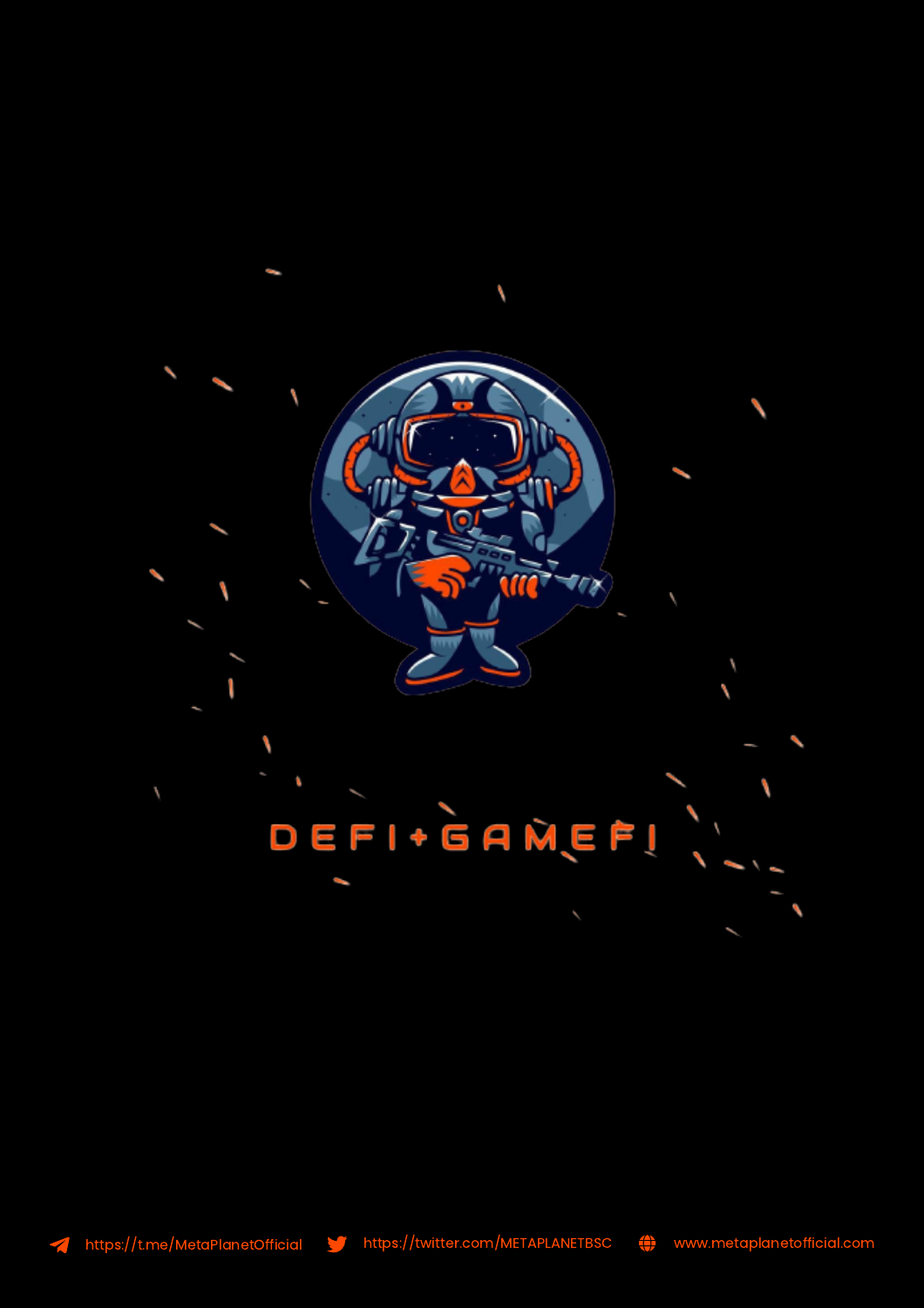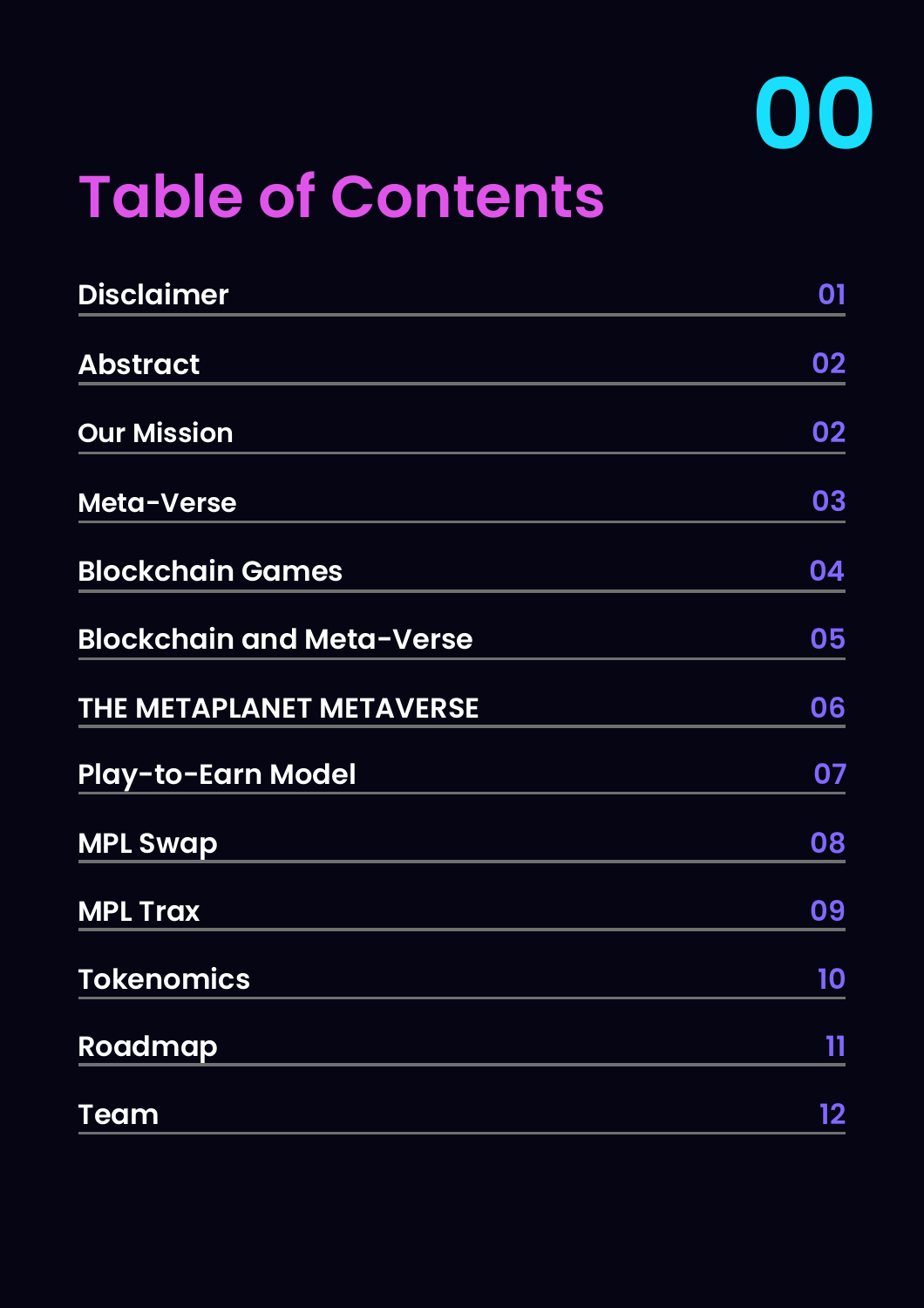

# **Table of Contents**

| <b>Disclaimer</b>                | 01      |
|----------------------------------|---------|
| <b>Abstract</b>                  | 02      |
| <b>Our Mission</b>               | 02      |
| Meta-Verse                       | 03      |
| <b>Blockchain Games</b>          | 04      |
| <b>Blockchain and Meta-Verse</b> | 05      |
| THE METAPLANET METAVERSE         | 06      |
| <b>Play-to-Earn Model</b>        | 07      |
| <b>MPL Swap</b>                  | 08      |
| <b>MPL Trax</b>                  | 09      |
| <b>Tokenomics</b>                | 10      |
| Roadmap                          | 11      |
| <b>Team</b>                      | $12 \,$ |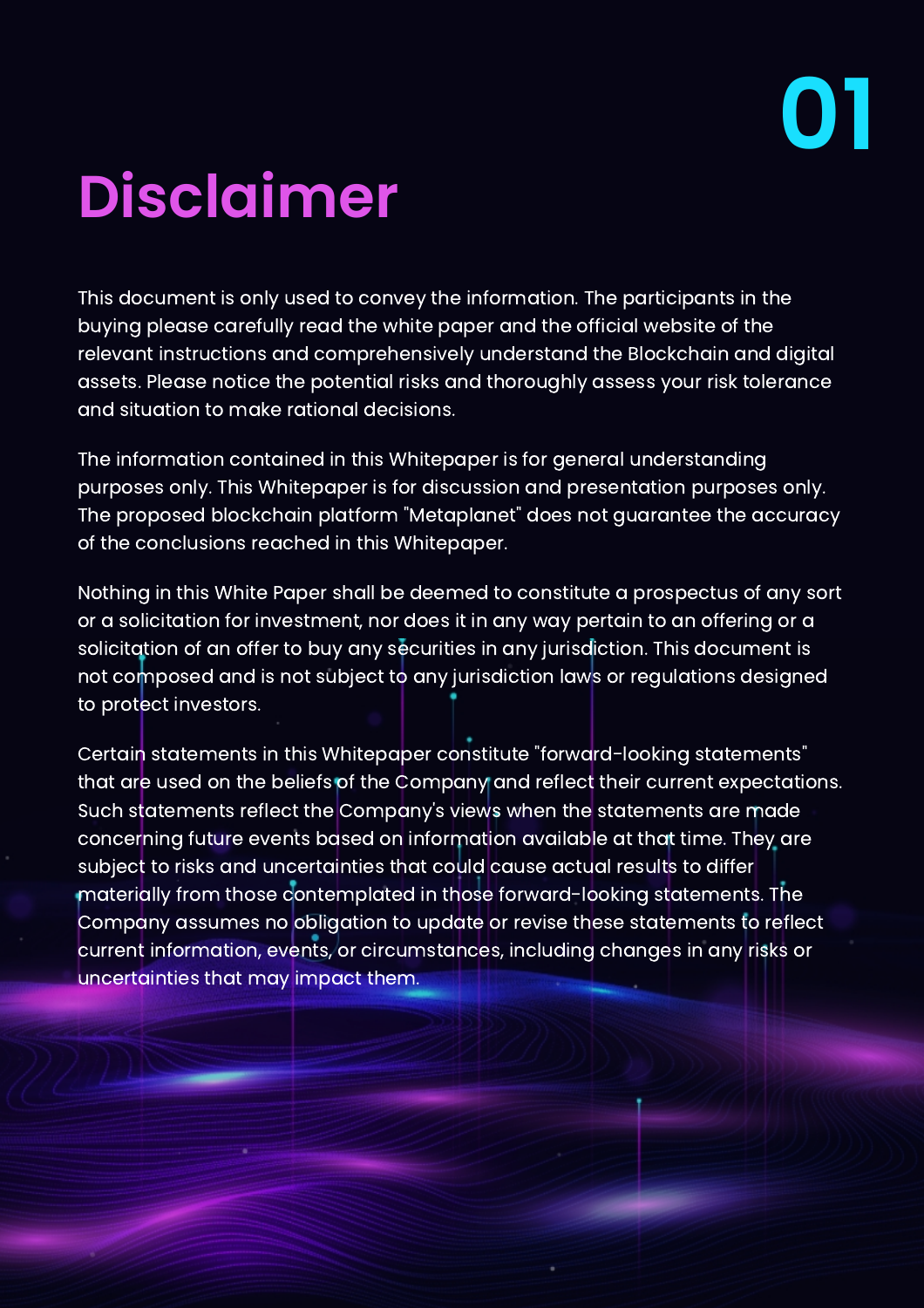# **Disclaimer**

This document is only used to convey the information. The participants in the buying please carefully read the white paper and the official website of the relevant instructions and comprehensively understand the Blockchain and digital assets. Please notice the potential risks and thoroughly assess your risk tolerance and situation to make rational decisions.

The information contained in this Whitepaper is for general understanding purposes only. This Whitepaper is for discussion and presentation purposes only. The proposed blockchain platform "Metaplanet" does not guarantee the accuracy of the conclusions reached in this Whitepaper.

Nothing in this White Paper shall be deemed to constitute a prospectus of any sort or a solicitation for investment, nor does it in any way pertain to an offering or a solicitation of an offer to buy any securities in any jurisdiction. This document is not composed and is not subject to any jurisdiction laws or regulations designed to protect investors.

Certain statements in this Whitepaper constitute "forward-looking statements" that are used on the beliefs of the Company and reflect their current expectations. Such statements reflect the Company's views when the statements are made concerning future events based on information available at that time. They are subject to risks and uncertainties that could cause actual results to differ materially from those contemplated in those forward-looking statements. The Company assumes no obligation to update or revise these statements to reflect current information, events, or circumstances, including changes in any risks or uncertainties that may impact them.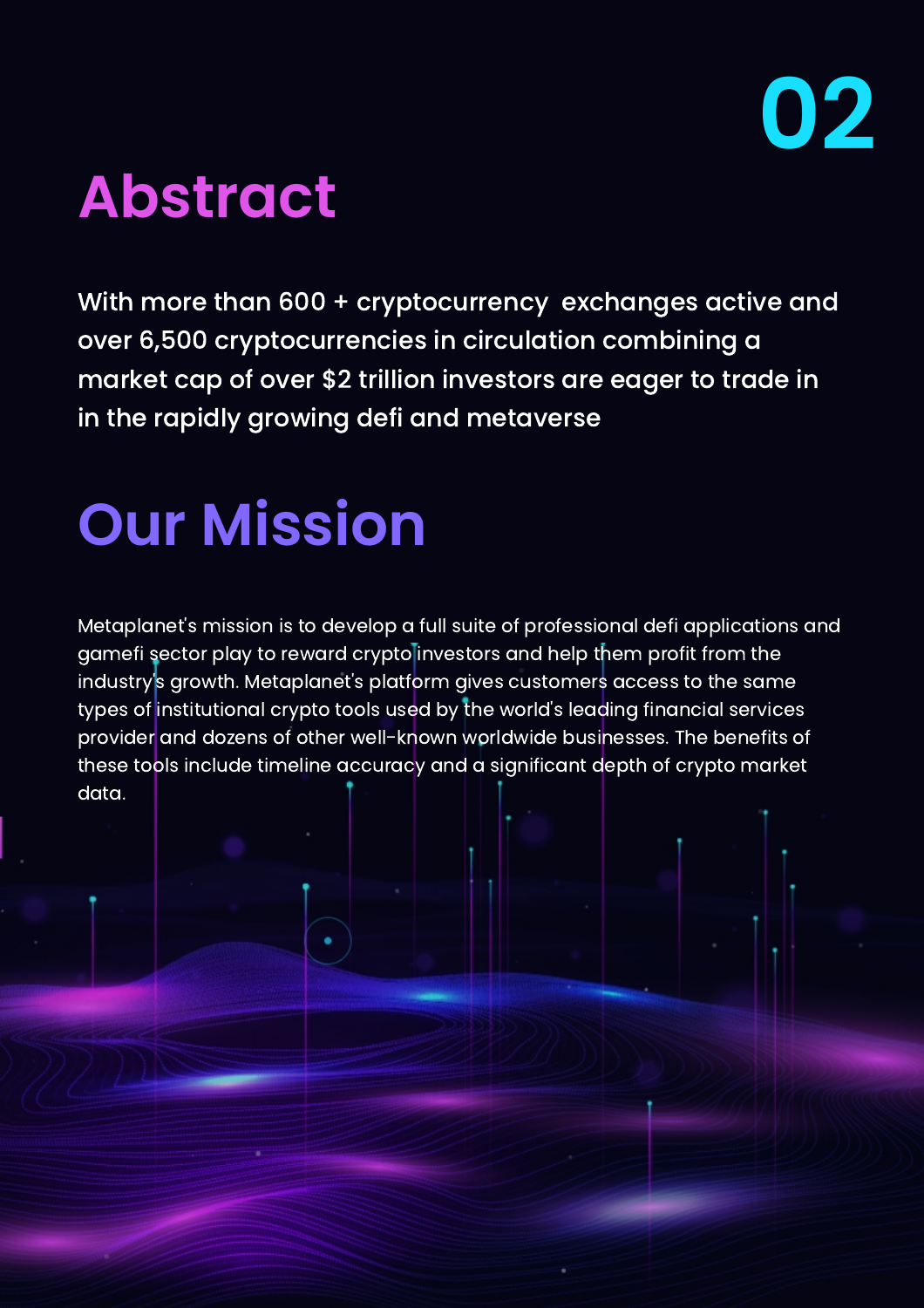### **Abstract**

With more than 600 + cryptocurrency exchanges active and over 6,500 cryptocurrencies in circulation combining a market cap of over \$2 trillion investors are eager to trade in in the rapidly growing defi and metaverse

## **Our Mission**

Metaplanet's mission is to develop a full suite of professional defi applications and gamefi sector play to reward crypto investors and help them profit from the industry's growth. Metaplanet's platform gives customers access to the same types of institutional crypto tools used by the world's leading financial services provider and dozens of other well-known worldwide businesses. The benefits of these tools include timeline accuracy and a significant depth of crypto market data.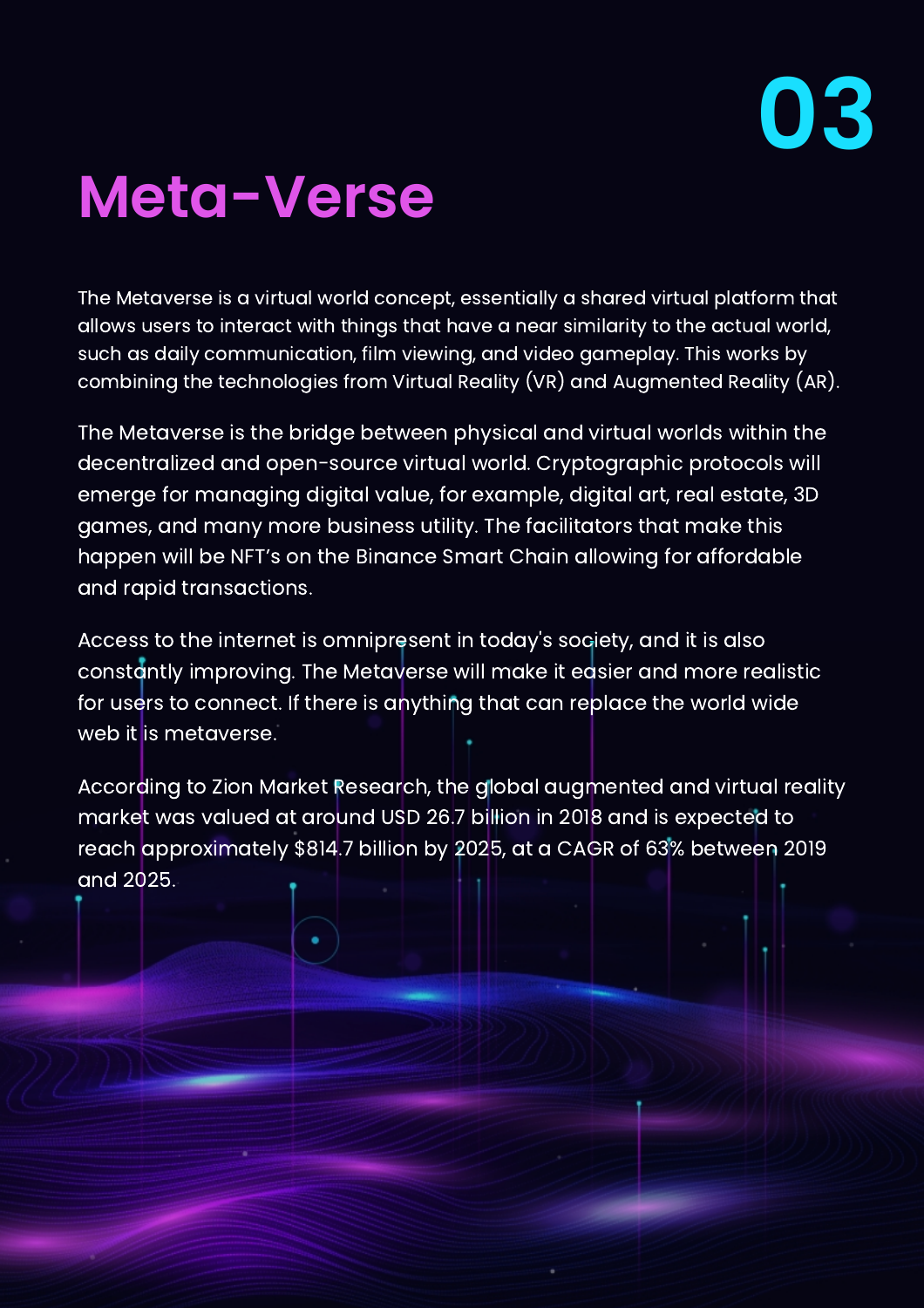## **Meta-Verse**

The Metaverse is a virtual world concept, essentially a shared virtual platform that allows users to interact with things that have a near similarity to the actual world, such as daily communication, film viewing, and video gameplay. This works by combining the technologies from Virtual Reality (VR) and Augmented Reality (AR).

The Metaverse is the bridge between physical and virtual worlds within the decentralized and open-source virtual world. Cryptographic protocols will emerge for managing digital value, for example, digital art, real estate, 3D games, and many more business utility. The facilitators that make this happen will be NFT's on the Binance Smart Chain allowing for affordable and rapid transactions.

Access to the internet is omnipresent in today's society, and it is also constantly improving. The Metaverse will make it easier and more realistic for users to connect. If there is anything that can replace the world wide web it is metaverse.

According to Zion Market Research, the global augmented and virtual reality market was valued at around USD 26.7 billion in 2018 and is expected to reach approximately \$814.7 billion by 2025, at a CAGR of 63% between 2019 and 2025.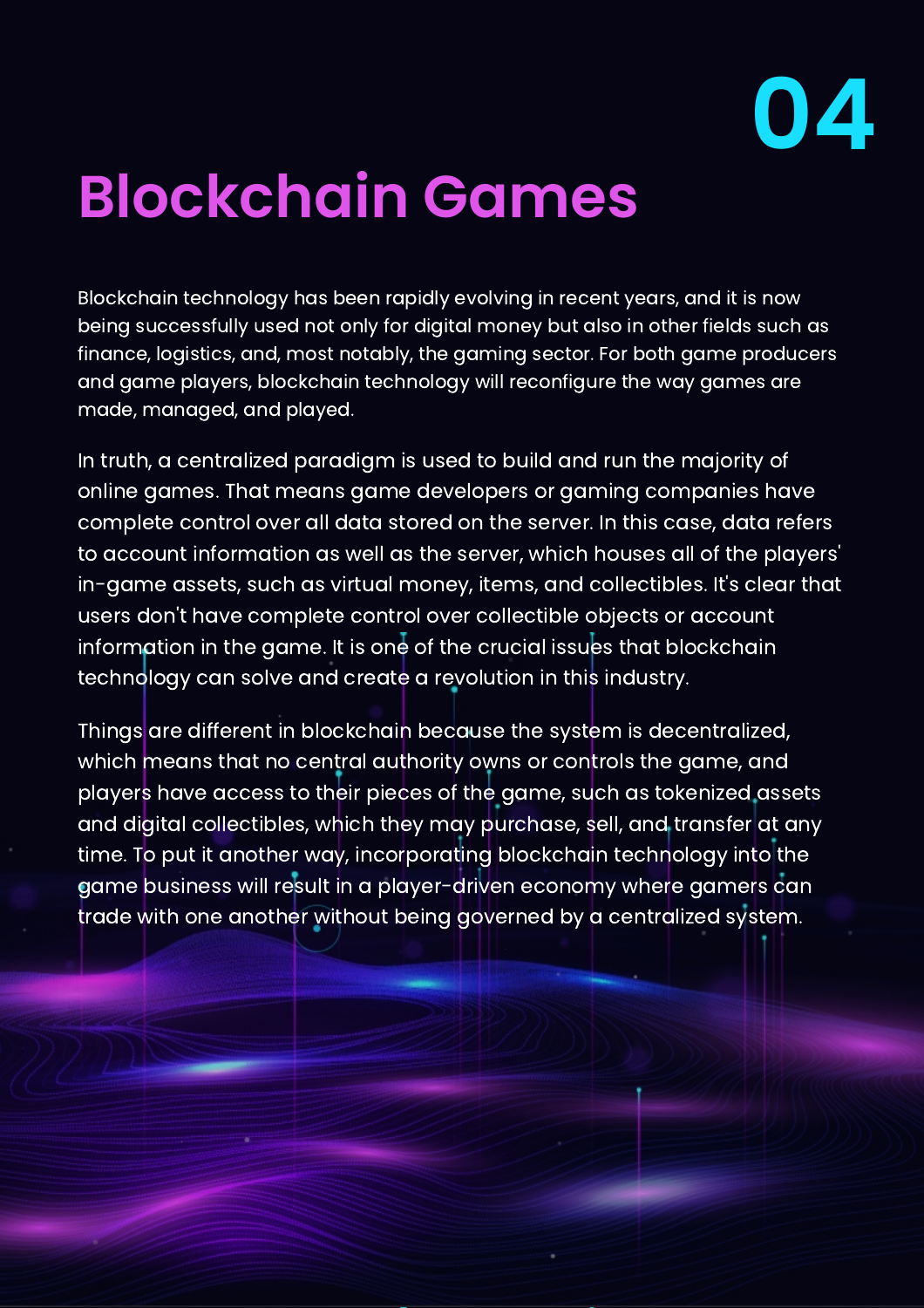

# **Blockchain Games**

Blockchain technology has been rapidly evolving in recent years, and it is now being successfully used not only for digital money but also in other fields such as finance, logistics, and, most notably, the gaming sector. For both game producers and game players, blockchain technology will reconfigure the way games are made, managed, and played.

In truth, a centralized paradigm is used to build and run the majority of online games. That means game developers or gaming companies have complete control over all data stored on the server. In this case, data refers to account information as well as the server, which houses all of the players' in-game assets, such as virtual money, items, and collectibles. It's clear that users don't have complete control over collectible objects or account information in the game. It is one of the crucial issues that blockchain technology can solve and create a revolution in this industry.

Things are different in blockchain because the system is decentralized, which means that no central authority owns or controls the game, and players have access to their pieces of the game, such as tokenized assets and digital collectibles, which they may purchase, sell, and transfer at any time. To put it another way, incorporating blockchain technology into the game business will result in a player-driven economy where gamers can trade with one another without being governed by a centralized system.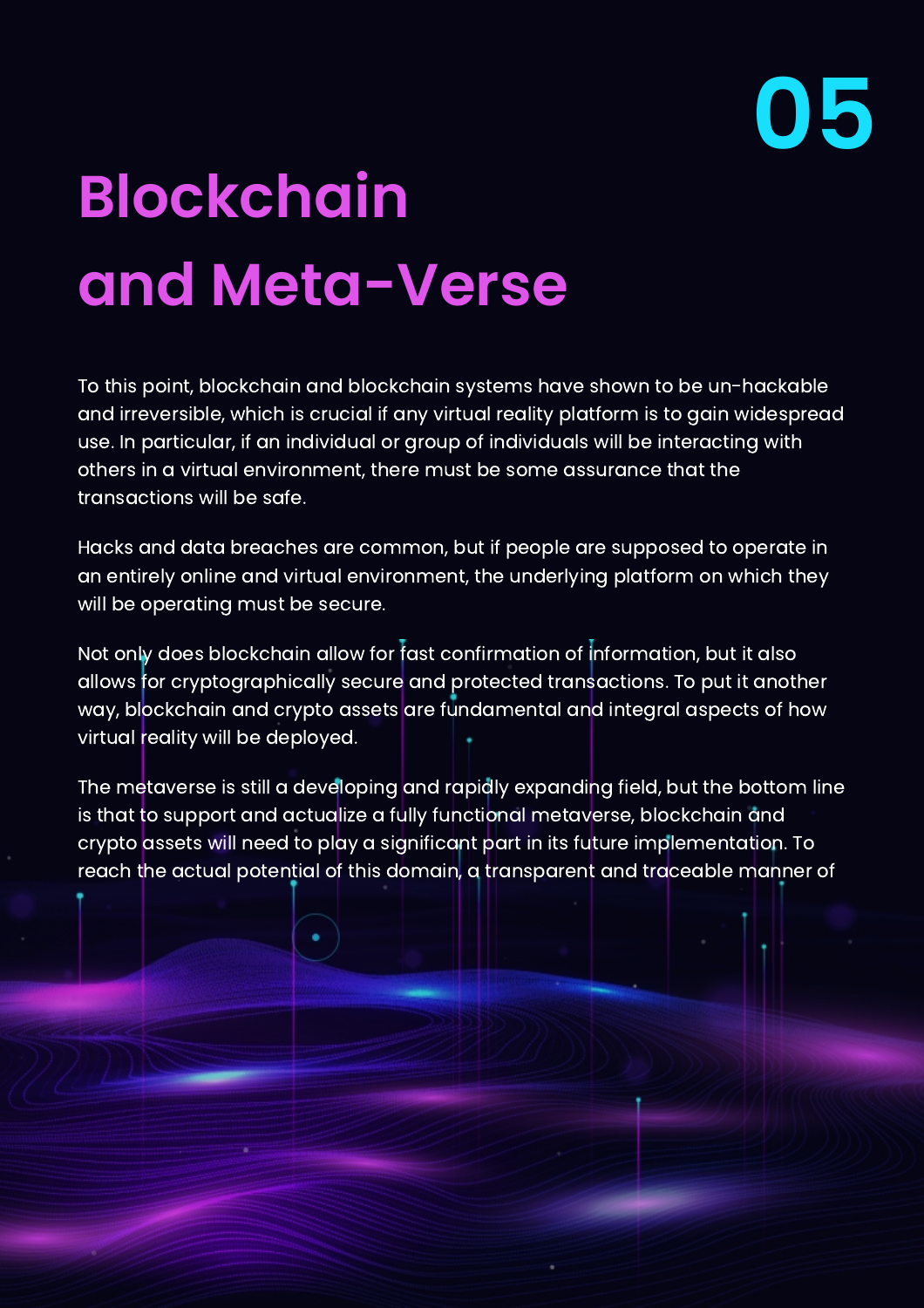

# **Blockchain and Meta-Verse**

To this point, blockchain and blockchain systems have shown to be un-hackable and irreversible, which is crucial if any virtual reality platform is to gain widespread use. In particular, if an individual or group of individuals will be interacting with others in a virtual environment, there must be some assurance that the transactions will be safe.

Hacks and data breaches are common, but if people are supposed to operate in an entirely online and virtual environment, the underlying platform on which they will be operating must be secure.

Not only does blockchain allow for fast confirmation of information, but it also allows for cryptographically secure and protected transactions. To put it another way, blockchain and crypto assets are fundamental and integral aspects of how virtual reality will be deployed.

The metaverse is still a developing and rapidly expanding field, but the bottom line is that to support and actualize a fully functional metaverse, blockchain and crypto assets will need to play a significant part in its future implementation. To reach the actual potential of this domain, a transparent and traceable manner of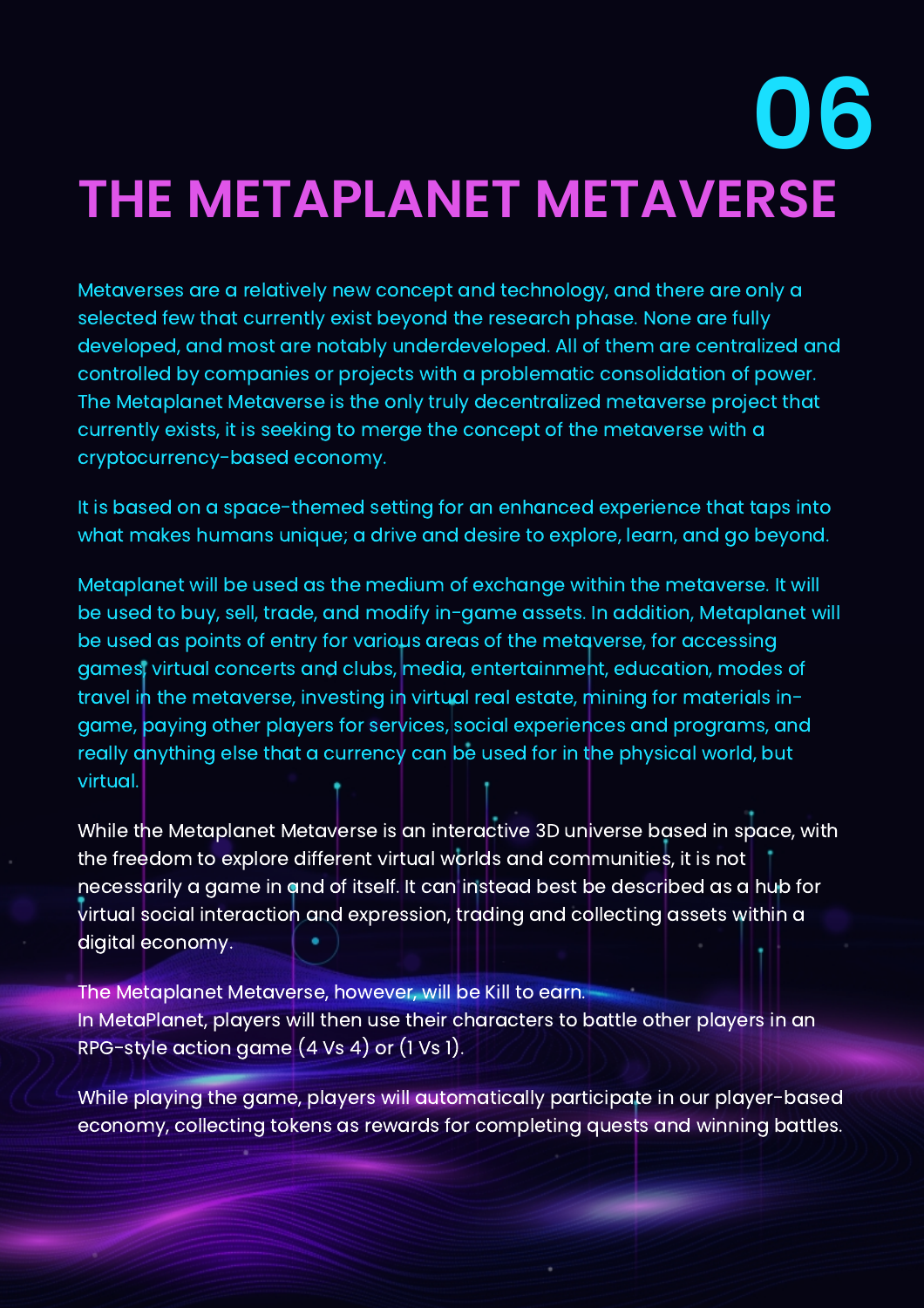# **THE METAPLANET METAVERSE 06**

Metaverses are a relatively new concept and technology, and there are only a selected few that currently exist beyond the research phase. None are fully developed, and most are notably underdeveloped. All of them are centralized and controlled by companies or projects with a problematic consolidation of power. The Metaplanet Metaverse is the only truly decentralized metaverse project that currently exists, it is seeking to merge the concept of the metaverse with a cryptocurrency-based economy.

It is based on a space-themed setting for an enhanced experience that taps into what makes humans unique; a drive and desire to explore, learn, and go beyond.

Metaplanet will be used as the medium of exchange within the metaverse. It will be used to buy, sell, trade, and modify in-game assets. In addition, Metaplanet will be used as points of entry for various areas of the metaverse, for accessing games, virtual concerts and clubs, media, entertainment, education, modes of travel in the metaverse, investing in virtual real estate, mining for materials ingame, paying other players for services, social experiences and programs, and really anything else that a currency can be used for in the physical world, but virtual.

While the Metaplanet Metaverse is an interactive 3D universe based in space, with the freedom to explore different virtual worlds and communities, it is not necessarily a game in and of itself. It can instead best be described as a hub for virtual social interaction and expression, trading and collecting assets within a digital economy.

The Metaplanet Metaverse, however, will be Kill to earn. In MetaPlanet, players will then use their characters to battle other players in an RPG-style action game (4 Vs 4) or (1 Vs 1).

While playing the game, players will automatically participate in our player-based economy, collecting tokens as rewards for completing quests and winning battles.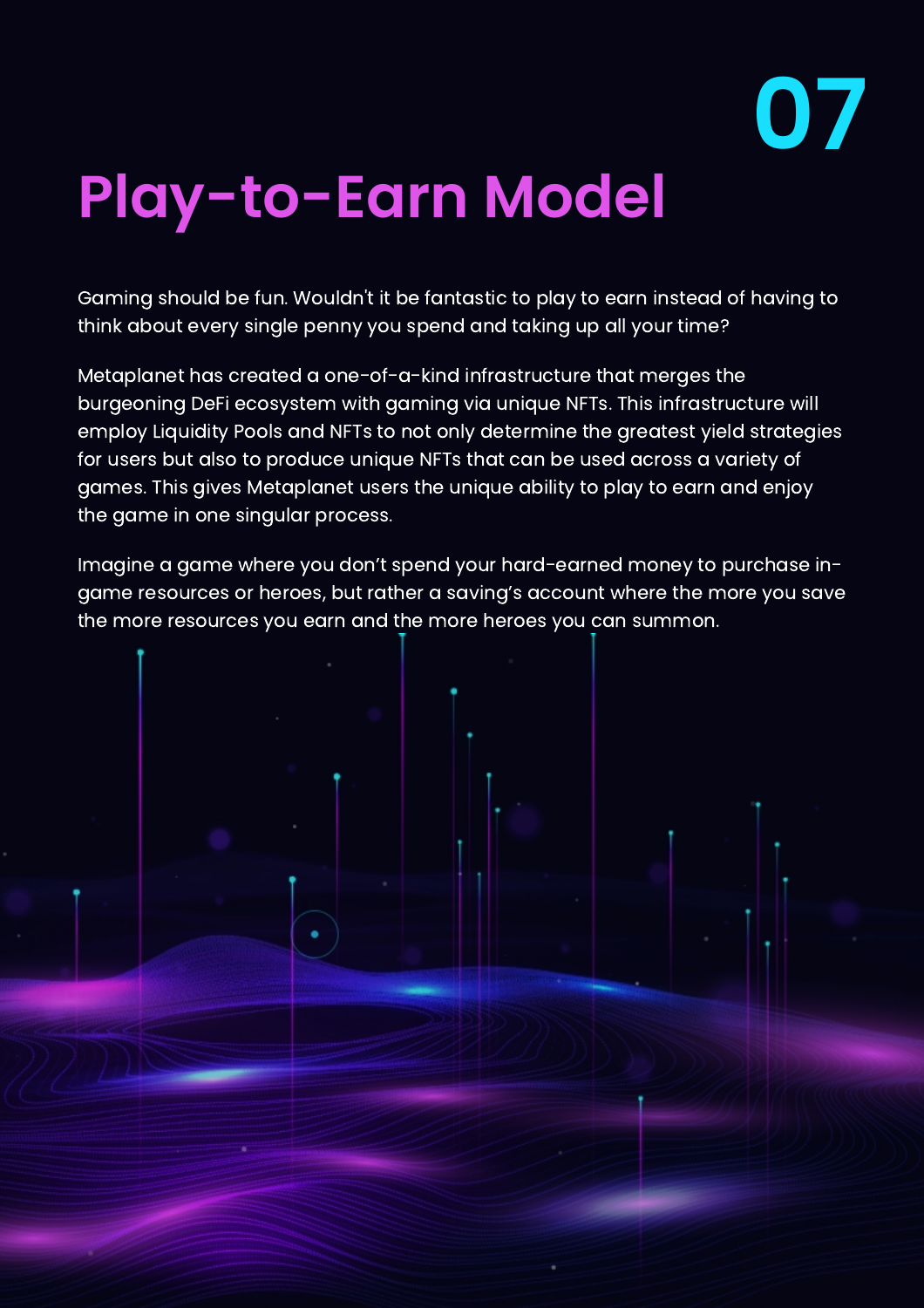

# **Play-to-Earn Model**

Gaming should be fun. Wouldn't it be fantastic to play to earn instead of having to think about every single penny you spend and taking up all your time?

Metaplanet has created a one-of-a-kind infrastructure that merges the burgeoning DeFi ecosystem with gaming via unique NFTs. This infrastructure will employ Liquidity Pools and NFTs to not only determine the greatest yield strategies for users but also to produce unique NFTs that can be used across a variety of games. This gives Metaplanet users the unique ability to play to earn and enjoy the game in one singular process.

Imagine a game where you don't spend your hard-earned money to purchase ingame resources or heroes, but rather a saving's account where the more you save the more resources you earn and the more heroes you can summon.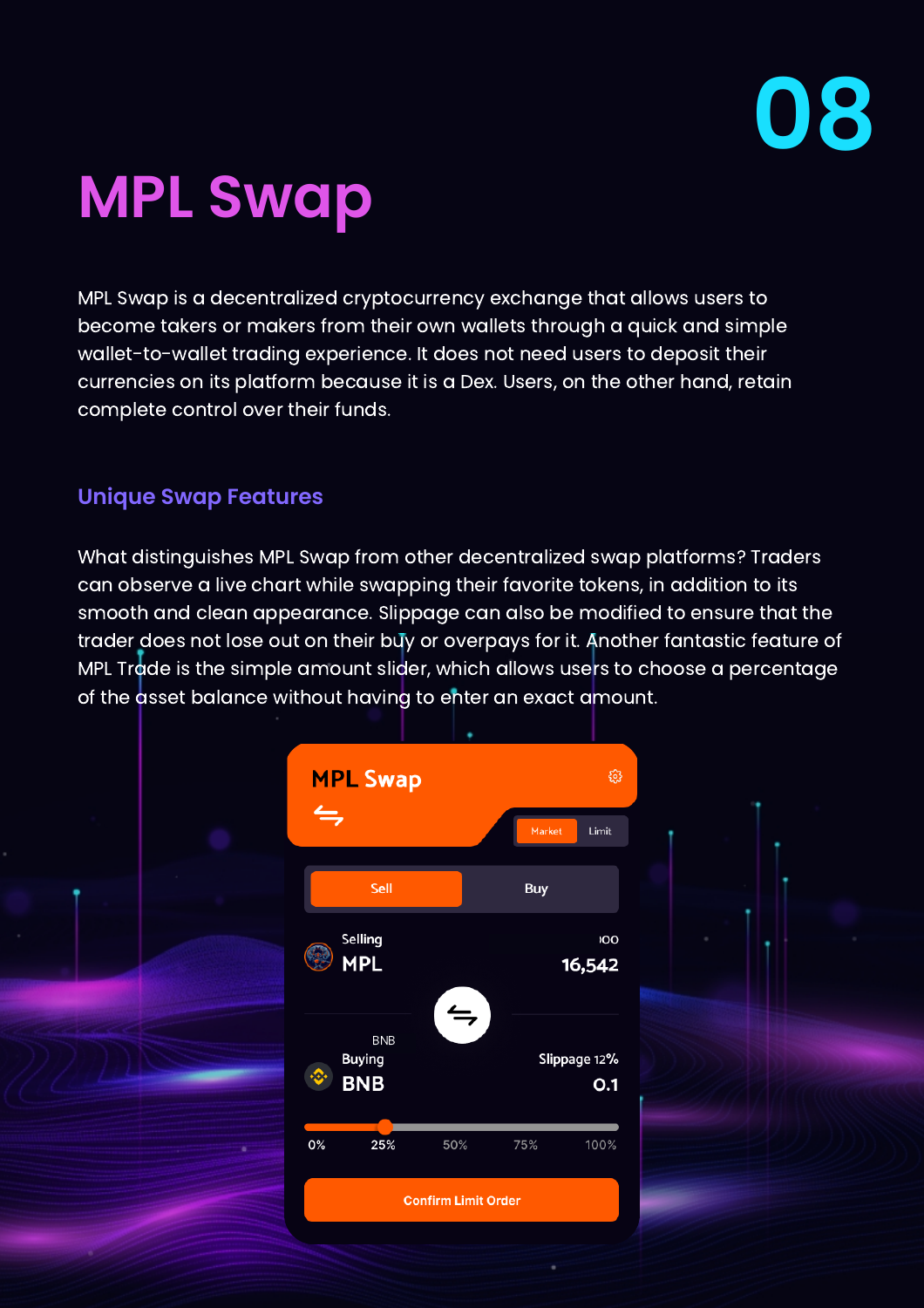

## **MPL Swap**

MPL Swap is a decentralized cryptocurrency exchange that allows users to become takers or makers from their own wallets through a quick and simple wallet-to-wallet trading experience. It does not need users to deposit their currencies on its platform because it is a Dex. Users, on the other hand, retain complete control over their funds.

#### **Unique Swap Features**

What distinguishes MPL Swap from other decentralized swap platforms? Traders can observe a live chart while swapping their favorite tokens, in addition to its smooth and clean appearance. Slippage can also be modified to ensure that the trader does not lose out on their buy or overpays for it. Another fantastic feature of MPL Trade is the simple amount slider, which allows users to choose a percentage of the asset balance without having to enter an exact amount.

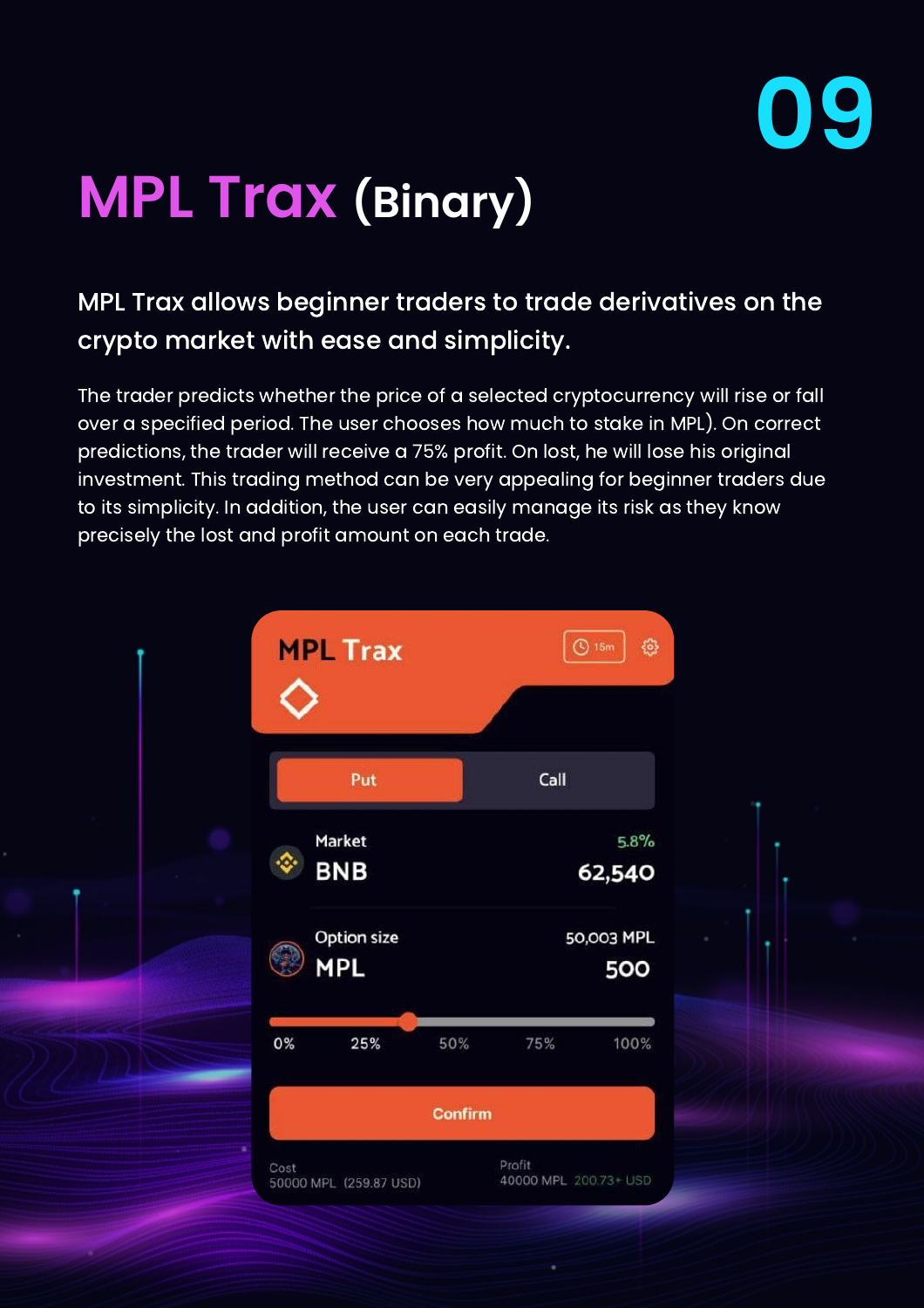

## **MPL Trax (Binary)**

#### MPL Trax allows beginner traders to trade derivatives on the crypto market with ease and simplicity.

The trader predicts whether the price of a selected cryptocurrency will rise or fall over a specified period. The user chooses how much to stake in MPL). On correct predictions, the trader will receive a 75% profit. On lost, he will lose his original investment. This trading method can be very appealing for beginner traders due to its simplicity. In addition, the user can easily manage its risk as they know precisely the lost and profit amount on each trade.

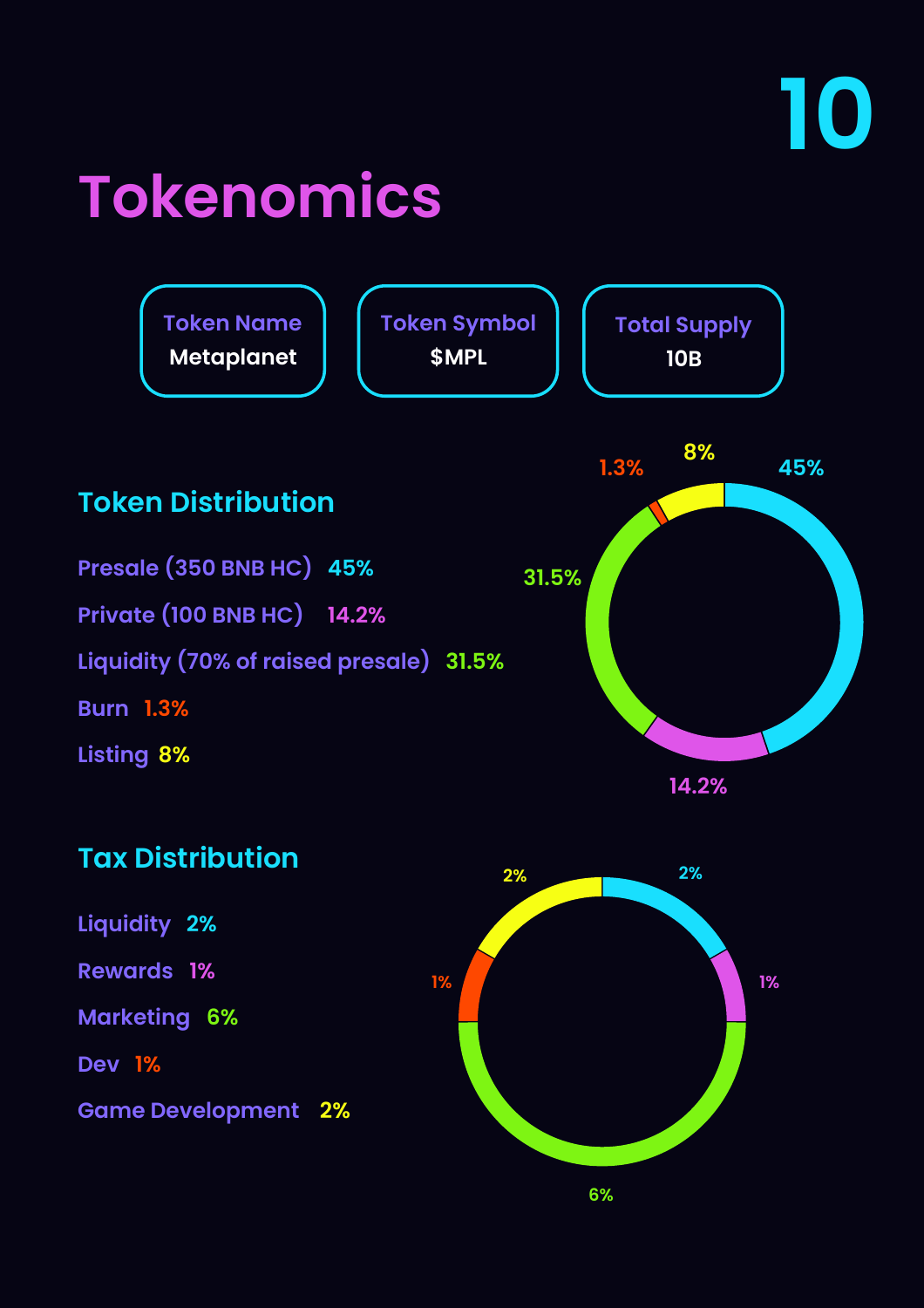# **Tokenomics**



#### **Tax Distribution**

**Liquidity 2%**

**1% Rewards**

**6% Marketing**

**1% Dev**

**2% Game Development** 

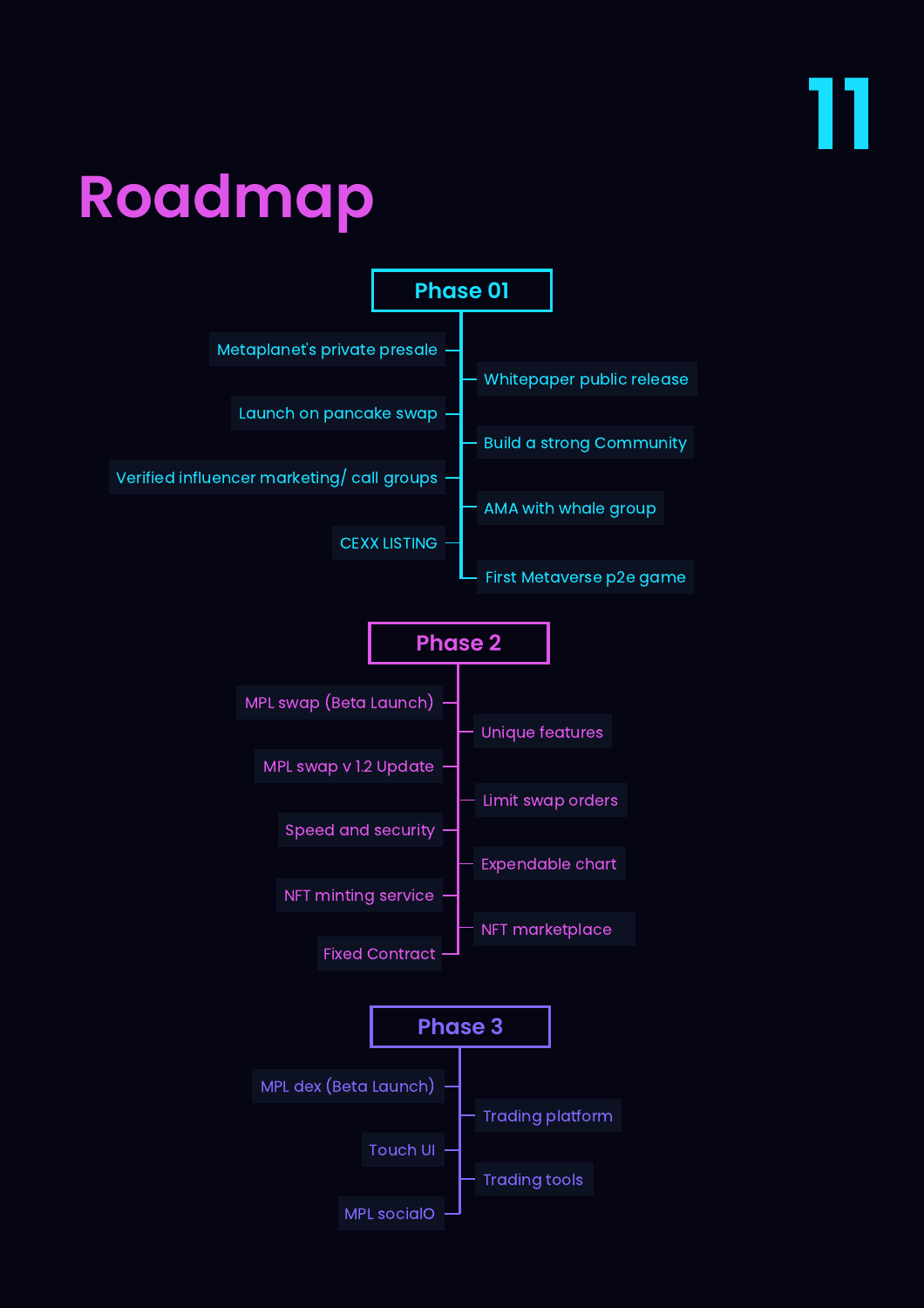

## **Roadmap**